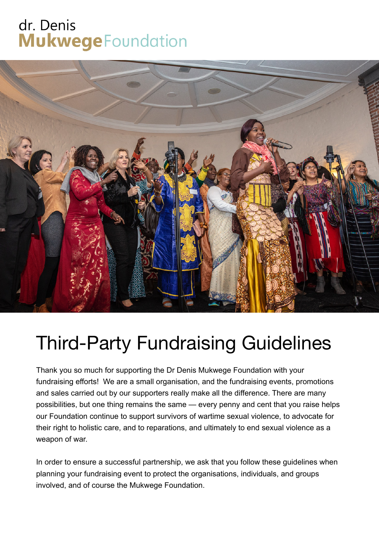## dr. Denis **Mukwege** Foundation



## Third-Party Fundraising Guidelines

Thank you so much for supporting the Dr Denis Mukwege Foundation with your fundraising efforts! We are a small organisation, and the fundraising events, promotions and sales carried out by our supporters really make all the difference. There are many possibilities, but one thing remains the same — every penny and cent that you raise helps our Foundation continue to support survivors of wartime sexual violence, to advocate for their right to holistic care, and to reparations, and ultimately to end sexual violence as a weapon of war.

In order to ensure a successful partnership, we ask that you follow these guidelines when planning your fundraising event to protect the organisations, individuals, and groups involved, and of course the Mukwege Foundation.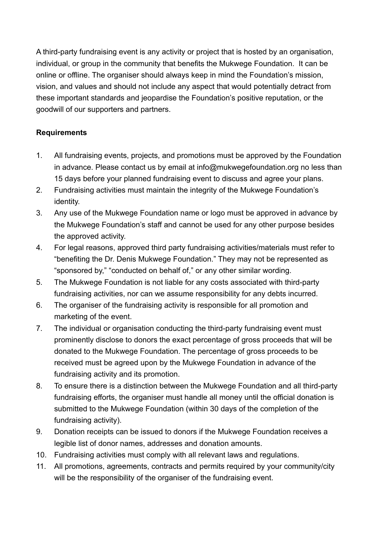A third-party fundraising event is any activity or project that is hosted by an organisation, individual, or group in the community that benefits the Mukwege Foundation. It can be online or offline. The organiser should always keep in mind the Foundation's mission, vision, and values and should not include any aspect that would potentially detract from these important standards and jeopardise the Foundation's positive reputation, or the goodwill of our supporters and partners.

## **Requirements**

- 1. All fundraising events, projects, and promotions must be approved by the Foundation in advance. Please contact us by email at info@mukwegefoundation.org no less than 15 days before your planned fundraising event to discuss and agree your plans.
- 2. Fundraising activities must maintain the integrity of the Mukwege Foundation's identity.
- 3. Any use of the Mukwege Foundation name or logo must be approved in advance by the Mukwege Foundation's staff and cannot be used for any other purpose besides the approved activity.
- 4. For legal reasons, approved third party fundraising activities/materials must refer to "benefiting the Dr. Denis Mukwege Foundation." They may not be represented as "sponsored by," "conducted on behalf of," or any other similar wording.
- 5. The Mukwege Foundation is not liable for any costs associated with third-party fundraising activities, nor can we assume responsibility for any debts incurred.
- 6. The organiser of the fundraising activity is responsible for all promotion and marketing of the event.
- 7. The individual or organisation conducting the third-party fundraising event must prominently disclose to donors the exact percentage of gross proceeds that will be donated to the Mukwege Foundation. The percentage of gross proceeds to be received must be agreed upon by the Mukwege Foundation in advance of the fundraising activity and its promotion.
- 8. To ensure there is a distinction between the Mukwege Foundation and all third-party fundraising efforts, the organiser must handle all money until the official donation is submitted to the Mukwege Foundation (within 30 days of the completion of the fundraising activity).
- 9. Donation receipts can be issued to donors if the Mukwege Foundation receives a legible list of donor names, addresses and donation amounts.
- 10. Fundraising activities must comply with all relevant laws and regulations.
- 11. All promotions, agreements, contracts and permits required by your community/city will be the responsibility of the organiser of the fundraising event.